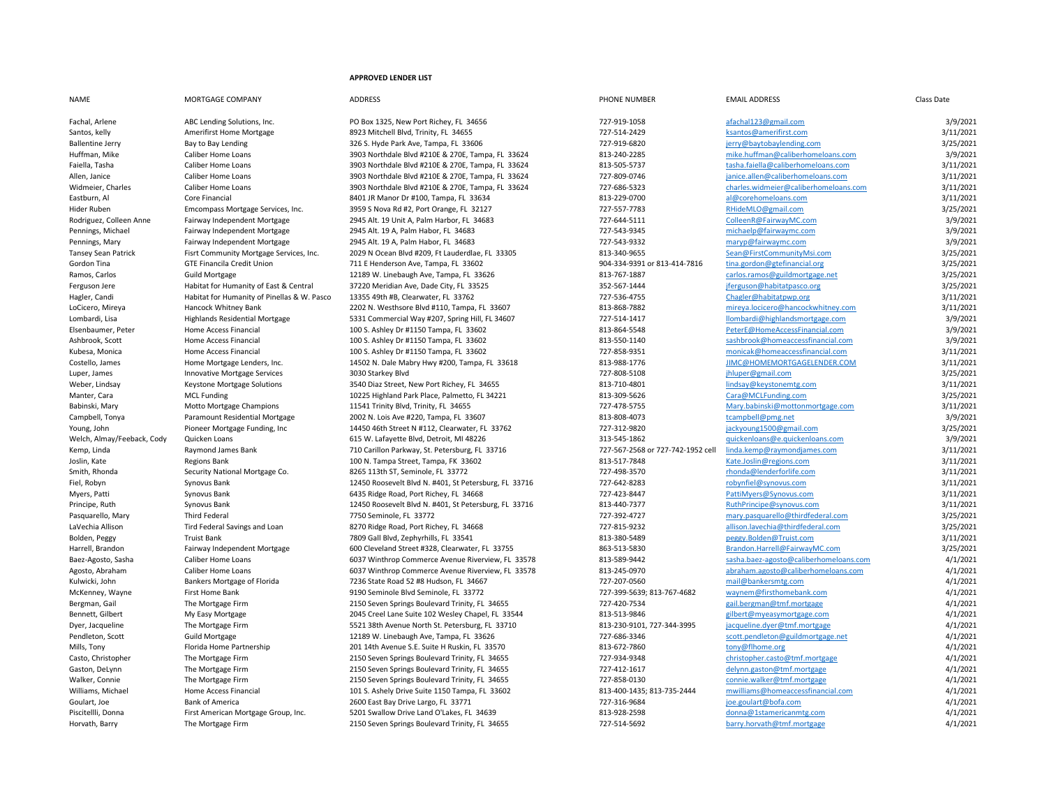## **APPROVED LENDER LIST**

| <b>NAME</b>                | MORTGAGE COMPANY                            | <b>ADDRESS</b>                                        | PHONE NUMBER                      | <b>EMAIL ADDRESS</b>                   | Class Date |
|----------------------------|---------------------------------------------|-------------------------------------------------------|-----------------------------------|----------------------------------------|------------|
| Fachal, Arlene             | ABC Lending Solutions, Inc.                 | PO Box 1325, New Port Richey, FL 34656                | 727-919-1058                      | afachal123@gmail.com                   | 3/9/2021   |
| Santos, kelly              | Amerifirst Home Mortgage                    | 8923 Mitchell Blvd, Trinity, FL 34655                 | 727-514-2429                      | ksantos@amerifirst.com                 | 3/11/2021  |
| <b>Ballentine Jerry</b>    | Bay to Bay Lending                          | 326 S. Hyde Park Ave, Tampa, FL 33606                 | 727-919-6820                      | jerry@baytobaylending.com              | 3/25/2021  |
| Huffman, Mike              | Caliber Home Loans                          | 3903 Northdale Blvd #210E & 270E, Tampa, FL 33624     | 813-240-2285                      | mike.huffman@caliberhomeloans.com      | 3/9/2021   |
| Faiella, Tasha             | Caliber Home Loans                          | 3903 Northdale Blvd #210E & 270E, Tampa, FL 33624     | 813-505-5737                      | tasha.faiella@caliberhomeloans.com     | 3/11/2021  |
| Allen, Janice              | Caliber Home Loans                          | 3903 Northdale Blvd #210E & 270E, Tampa, FL 33624     | 727-809-0746                      | janice.allen@caliberhomeloans.com      | 3/11/2021  |
| Widmeier, Charles          | Caliber Home Loans                          | 3903 Northdale Blvd #210E & 270E, Tampa, FL 33624     | 727-686-5323                      | charles.widmeier@caliberhomeloans.com  | 3/11/2021  |
| Eastburn, Al               | Core Financial                              | 8401 JR Manor Dr #100, Tampa, FL 33634                | 813-229-0700                      | al@corehomeloans.com                   | 3/11/2021  |
| Hider Ruben                | Emcompass Mortgage Services, Inc.           | 3959 S Nova Rd #2, Port Orange, FL 32127              | 727-557-7783                      | RHideMLO@gmail.com                     | 3/25/2021  |
| Rodriguez, Colleen Anne    | Fairway Independent Mortgage                | 2945 Alt. 19 Unit A, Palm Harbor, FL 34683            | 727-644-5111                      | ColleenR@FairwayMC.com                 | 3/9/2021   |
| Pennings, Michael          | Fairway Independent Mortgage                | 2945 Alt. 19 A, Palm Habor, FL 34683                  | 727-543-9345                      | michaelp@fairwaymc.com                 | 3/9/2021   |
| Pennings, Mary             | Fairway Independent Mortgage                | 2945 Alt. 19 A, Palm Habor, FL 34683                  | 727-543-9332                      | maryp@fairwaymc.com                    | 3/9/2021   |
| Tansey Sean Patrick        | Fisrt Community Mortgage Services, Inc.     | 2029 N Ocean Blvd #209, Ft Lauderdlae, FL 33305       | 813-340-9655                      | Sean@FirstCommunityMsi.com             | 3/25/2021  |
| Gordon Tina                | <b>GTE Financila Credit Union</b>           | 711 E Henderson Ave, Tampa, FL 33602                  | 904-334-9391 or 813-414-7816      | tina.gordon@gtefinancial.org           | 3/25/2021  |
| Ramos, Carlos              | <b>Guild Mortgage</b>                       | 12189 W. Linebaugh Ave, Tampa, FL 33626               | 813-767-1887                      | carlos.ramos@guildmortgage.net         | 3/25/2021  |
| Ferguson Jere              | Habitat for Humanity of East & Central      | 37220 Meridian Ave, Dade City, FL 33525               | 352-567-1444                      | jferguson@habitatpasco.org             | 3/25/2021  |
| Hagler, Candi              | Habitat for Humanity of Pinellas & W. Pasco | 13355 49th #B, Clearwater, FL 33762                   | 727-536-4755                      | Chagler@habitatpwp.org                 | 3/11/2021  |
| LoCicero, Mireya           | Hancock Whitney Bank                        | 2202 N. Westhsore Blvd #110, Tampa, FL 33607          | 813-868-7882                      | mireya.locicero@hancockwhitney.com     | 3/11/2021  |
| Lombardi, Lisa             | Highlands Residential Mortgage              | 5331 Commercial Way #207, Spring Hill, FL 34607       | 727-514-1417                      | llombardi@highlandsmortgage.com        | 3/9/2021   |
| Elsenbaumer, Peter         | Home Access Financial                       | 100 S. Ashley Dr #1150 Tampa, FL 33602                | 813-864-5548                      | PeterE@HomeAccessFinancial.com         | 3/9/2021   |
| Ashbrook, Scott            | Home Access Financial                       | 100 S. Ashley Dr #1150 Tampa, FL 33602                | 813-550-1140                      | sashbrook@homeaccessfinancial.com      | 3/9/2021   |
| Kubesa, Monica             | Home Access Financial                       | 100 S. Ashley Dr #1150 Tampa, FL 33602                | 727-858-9351                      | monicak@homeaccessfinancial.com        | 3/11/2021  |
| Costello, James            | Home Mortgage Lenders, Inc.                 | 14502 N. Dale Mabry Hwy #200, Tampa, FL 33618         | 813-988-1776                      | JIMC@HOMEMORTGAGELENDER.COM            | 3/11/2021  |
| Luper, James               | Innovative Mortgage Services                | 3030 Starkey Blvd                                     | 727-808-5108                      | jhluper@gmail.com                      | 3/25/2021  |
| Weber, Lindsay             | Keystone Mortgage Solutions                 | 3540 Diaz Street, New Port Richey, FL 34655           | 813-710-4801                      | lindsay@keystonemtg.com                | 3/11/2021  |
| Manter, Cara               | <b>MCL Funding</b>                          | 10225 Highland Park Place, Palmetto, FL 34221         | 813-309-5626                      | Cara@MCLFunding.com                    | 3/25/2021  |
| Babinski, Mary             | Motto Mortgage Champions                    | 11541 Trinity Blvd, Trinity, FL 34655                 | 727-478-5755                      | Mary.babinski@mottonmortgage.com       | 3/11/2021  |
| Campbell, Tonya            | Paramount Residential Mortgage              | 2002 N. Lois Ave #220, Tampa, FL 33607                | 813-808-4073                      | tcampbell@pmg.net                      | 3/9/2021   |
| Young, John                | Pioneer Mortgage Funding, Inc.              | 14450 46th Street N #112, Clearwater, FL 33762        | 727-312-9820                      | jackyoung1500@gmail.com                | 3/25/2021  |
| Welch, Almay/Feeback, Cody | Quicken Loans                               | 615 W. Lafayette Blvd, Detroit, MI 48226              | 313-545-1862                      | guickenloans@e.quickenloans.com        | 3/9/2021   |
| Kemp, Linda                | Raymond James Bank                          | 710 Carillon Parkway, St. Petersburg, FL 33716        | 727-567-2568 or 727-742-1952 cell | linda.kemp@raymondjames.com            | 3/11/2021  |
| Joslin, Kate               | <b>Regions Bank</b>                         | 100 N. Tampa Street, Tampa, FK 33602                  | 813-517-7848                      | Kate.Joslin@regions.com                | 3/11/2021  |
| Smith, Rhonda              | Security National Mortgage Co.              | 8265 113th ST, Seminole, FL 33772                     | 727-498-3570                      | rhonda@lenderforlife.com               | 3/11/2021  |
| Fiel, Robyn                | Synovus Bank                                | 12450 Roosevelt Blvd N. #401, St Petersburg, FL 33716 | 727-642-8283                      | robynfiel@synovus.com                  | 3/11/2021  |
| Myers, Patti               | Synovus Bank                                | 6435 Ridge Road, Port Richey, FL 34668                | 727-423-8447                      | PattiMyers@Synovus.com                 | 3/11/2021  |
| Principe, Ruth             | Synovus Bank                                | 12450 Roosevelt Blvd N. #401, St Petersburg, FL 33716 | 813-440-7377                      | RuthPrincipe@synovus.com               | 3/11/2021  |
| Pasquarello, Mary          | <b>Third Federal</b>                        | 7750 Seminole, FL 33772                               | 727-392-4727                      | mary.pasquarello@thirdfederal.com      | 3/25/2021  |
| LaVechia Allison           | Tird Federal Savings and Loan               | 8270 Ridge Road, Port Richey, FL 34668                | 727-815-9232                      | allison.lavechia@thirdfederal.com      | 3/25/2021  |
| Bolden, Peggy              | <b>Truist Bank</b>                          | 7809 Gall Blvd, Zephyrhills, FL 33541                 | 813-380-5489                      | peggy.Bolden@Truist.com                | 3/11/2021  |
| Harrell, Brandon           | Fairway Independent Mortgage                | 600 Cleveland Street #328, Clearwater, FL 33755       | 863-513-5830                      | Brandon.Harrell@FairwayMC.com          | 3/25/2021  |
| Baez-Agosto, Sasha         | Caliber Home Loans                          | 6037 Winthrop Commerce Avenue Riverview, FL 33578     | 813-589-9442                      | sasha.baez-agosto@caliberhomeloans.com | 4/1/2021   |
| Agosto, Abraham            | Caliber Home Loans                          | 6037 Winthrop Commerce Avenue Riverview, FL 33578     | 813-245-0970                      | abraham.agosto@caliberhomeloans.com    | 4/1/2021   |
| Kulwicki, John             | Bankers Mortgage of Florida                 | 7236 State Road 52 #8 Hudson, FL 34667                | 727-207-0560                      | mail@bankersmtg.com                    | 4/1/2021   |
| McKenney, Wayne            | First Home Bank                             | 9190 Seminole Blvd Seminole, FL 33772                 | 727-399-5639; 813-767-4682        | waynem@firsthomebank.com               | 4/1/2021   |
| Bergman, Gail              | The Mortgage Firm                           | 2150 Seven Springs Boulevard Trinity, FL 34655        | 727-420-7534                      | gail.bergman@tmf.mortgage              | 4/1/2021   |
| Bennett, Gilbert           | My Easy Mortgage                            | 2045 Creel Lane Suite 102 Wesley Chapel, FL 33544     | 813-513-9846                      | gilbert@myeasymortgage.com             | 4/1/2021   |
| Dyer, Jacqueline           | The Mortgage Firm                           | 5521 38th Avenue North St. Petersburg, FL 33710       | 813-230-9101, 727-344-3995        | jacqueline.dyer@tmf.mortgage           | 4/1/2021   |
| Pendleton, Scott           | <b>Guild Mortgage</b>                       | 12189 W. Linebaugh Ave, Tampa, FL 33626               | 727-686-3346                      | scott.pendleton@guildmortgage.net      | 4/1/2021   |
| Mills, Tony                | Florida Home Partnership                    | 201 14th Avenue S.E. Suite H Ruskin, FL 33570         | 813-672-7860                      | tony@flhome.org                        | 4/1/2021   |
| Casto, Christopher         | The Mortgage Firm                           | 2150 Seven Springs Boulevard Trinity, FL 34655        | 727-934-9348                      | christopher.casto@tmf.mortgage         | 4/1/2021   |
| Gaston, DeLynn             | The Mortgage Firm                           | 2150 Seven Springs Boulevard Trinity, FL 34655        | 727-412-1617                      | delynn.gaston@tmf.mortgage             | 4/1/2021   |
| Walker, Connie             | The Mortgage Firm                           | 2150 Seven Springs Boulevard Trinity, FL 34655        | 727-858-0130                      | connie.walker@tmf.mortgage             | 4/1/2021   |
| Williams, Michael          | <b>Home Access Financial</b>                | 101 S. Ashely Drive Suite 1150 Tampa, FL 33602        | 813-400-1435; 813-735-2444        | mwilliams@homeaccessfinancial.com      | 4/1/2021   |
| Goulart, Joe               | <b>Bank of America</b>                      | 2600 East Bay Drive Largo, FL 33771                   | 727-316-9684                      | joe.goulart@bofa.com                   | 4/1/2021   |

Piscitellli, Donna First American Mortgage Group, Inc. 69201 Swallow Drive Land O'Lakes, FL 34639 813-928-2598 513-928-2598 913-928-2598 donna and the Mortgage Firm 4/1/2021 11/2021 913-928-2598 513-928-2598 913-928-2598 5

2150 Seven Springs Boulevard Trinity, FL 34655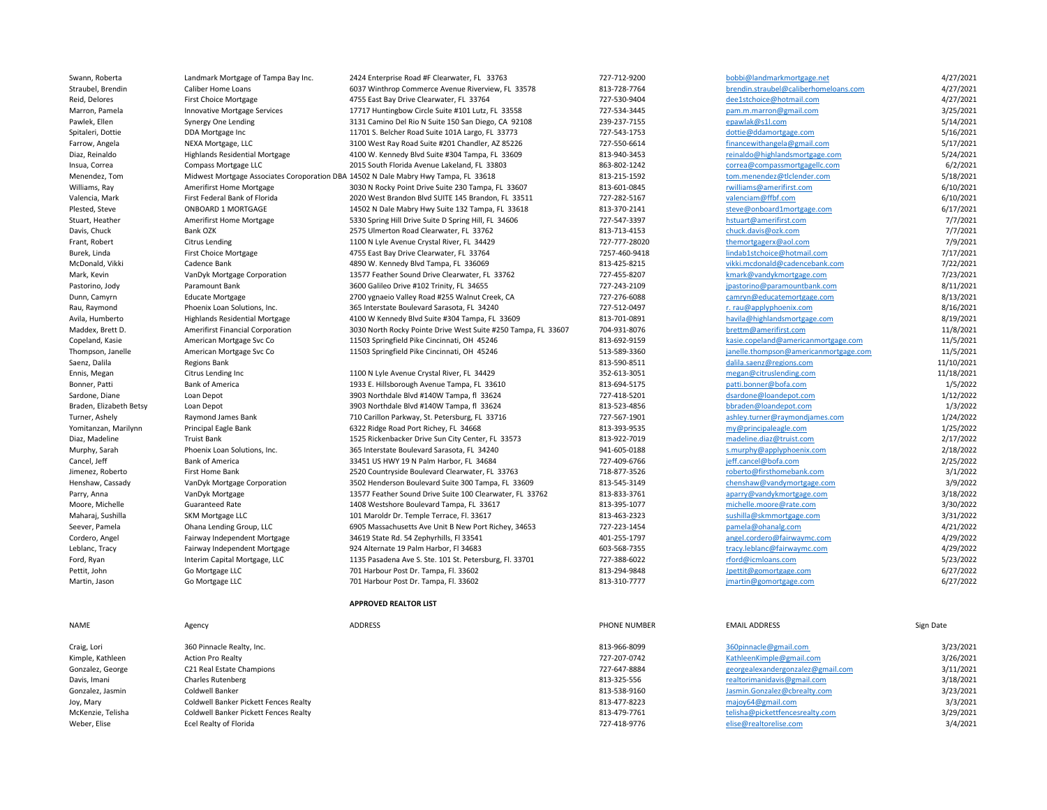| Swann, Roberta          | Landmark Mortgage of Tampa Bay Inc.                                                 | 2424 Enterprise Road #F Clearwater, FL 33763                  | 727-712-9200  | bobbi@landmarkmortgage.net            | 4/27/2021  |
|-------------------------|-------------------------------------------------------------------------------------|---------------------------------------------------------------|---------------|---------------------------------------|------------|
| Straubel, Brendin       | Caliber Home Loans                                                                  | 6037 Winthrop Commerce Avenue Riverview, FL 33578             | 813-728-7764  | brendin.straubel@caliberhomeloans.com | 4/27/2021  |
| Reid, Delores           | <b>First Choice Mortgage</b>                                                        | 4755 East Bay Drive Clearwater, FL 33764                      | 727-530-9404  | dee1stchoice@hotmail.com              | 4/27/2021  |
| Marron, Pamela          | <b>Innovative Mortgage Services</b>                                                 | 17717 Huntingbow Circle Suite #101 Lutz, FL 33558             | 727-534-3445  | pam.m.marron@gmail.com                | 3/25/2021  |
| Pawlek, Ellen           | Synergy One Lending                                                                 | 3131 Camino Del Rio N Suite 150 San Diego, CA 92108           | 239-237-7155  | epawlak@s1l.com                       | 5/14/2021  |
| Spitaleri, Dottie       | DDA Mortgage Inc                                                                    | 11701 S. Belcher Road Suite 101A Largo, FL 33773              | 727-543-1753  | dottie@ddamortgage.com                | 5/16/2021  |
| Farrow, Angela          | NEXA Mortgage, LLC                                                                  | 3100 West Ray Road Suite #201 Chandler, AZ 85226              | 727-550-6614  | financewithangela@gmail.com           | 5/17/2021  |
| Diaz, Reinaldo          | <b>Highlands Residential Mortgage</b>                                               | 4100 W. Kennedy Blvd Suite #304 Tampa, FL 33609               | 813-940-3453  | reinaldo@highlandsmortgage.com        | 5/24/2021  |
| Insua, Correa           | Compass Mortgage LLC                                                                | 2015 South Florida Avenue Lakeland, FL 33803                  | 863-802-1242  | correa@compassmortgagellc.com         | 6/2/2021   |
| Menendez, Tom           | Midwest Mortgage Associates Coroporation DBA 14502 N Dale Mabry Hwy Tampa, FL 33618 |                                                               | 813-215-1592  | tom.menendez@tlclender.com            | 5/18/2021  |
| Williams, Ray           | <b>Amerifirst Home Mortgage</b>                                                     | 3030 N Rocky Point Drive Suite 230 Tampa, FL 33607            | 813-601-0845  | rwilliams@amerifirst.com              | 6/10/2021  |
| Valencia, Mark          | First Federal Bank of Florida                                                       | 2020 West Brandon Blvd SUITE 145 Brandon, FL 33511            | 727-282-5167  | valenciam@ffbf.com                    | 6/10/2021  |
| Plested, Steve          | ONBOARD 1 MORTGAGE                                                                  | 14502 N Dale Mabry Hwy Suite 132 Tampa, FL 33618              | 813-370-2141  | steve@onboard1mortgage.com            | 6/17/2021  |
|                         |                                                                                     |                                                               |               |                                       | 7/7/2021   |
| Stuart, Heather         | <b>Amerifirst Home Mortgage</b>                                                     | 5330 Spring Hill Drive Suite D Spring Hill, FL 34606          | 727-547-3397  | hstuart@amerifirst.com                |            |
| Davis, Chuck            | <b>Bank OZK</b>                                                                     | 2575 Ulmerton Road Clearwater, FL 33762                       | 813-713-4153  | chuck.davis@ozk.com                   | 7/7/2021   |
| Frant, Robert           | <b>Citrus Lending</b>                                                               | 1100 N Lyle Avenue Crystal River, FL 34429                    | 727-777-28020 | themortgagerx@aol.com                 | 7/9/2021   |
| Burek, Linda            | <b>First Choice Mortgage</b>                                                        | 4755 East Bay Drive Clearwater, FL 33764                      | 7257-460-9418 | lindab1stchoice@hotmail.com           | 7/17/2021  |
| McDonald, Vikki         | Cadence Bank                                                                        | 4890 W. Kennedy Blvd Tampa, FL 336069                         | 813-425-8215  | vikki.mcdonald@cadencebank.com        | 7/22/2021  |
| Mark, Kevin             | VanDyk Mortgage Corporation                                                         | 13577 Feather Sound Drive Clearwater, FL 33762                | 727-455-8207  | kmark@vandykmortgage.com              | 7/23/2021  |
| Pastorino, Jody         | Paramount Bank                                                                      | 3600 Galileo Drive #102 Trinity, FL 34655                     | 727-243-2109  | jpastorino@paramountbank.com          | 8/11/2021  |
| Dunn, Camyrn            | <b>Educate Mortgage</b>                                                             | 2700 ygnaeio Valley Road #255 Walnut Creek, CA                | 727-276-6088  | camryn@educatemortgage.com            | 8/13/2021  |
| Rau, Raymond            | Phoenix Loan Solutions, Inc.                                                        | 365 Interstate Boulevard Sarasota, FL 34240                   | 727-512-0497  | r. rau@applyphoenix.com               | 8/16/2021  |
| Avila, Humberto         | <b>Highlands Residential Mortgage</b>                                               | 4100 W Kennedy Blvd Suite #304 Tampa, FL 33609                | 813-701-0891  | havila@highlandsmortgage.com          | 8/19/2021  |
| Maddex, Brett D.        | Amerifirst Financial Corporation                                                    | 3030 North Rocky Pointe Drive West Suite #250 Tampa, FL 33607 | 704-931-8076  | brettm@amerifirst.com                 | 11/8/2021  |
| Copeland, Kasie         | American Mortgage Svc Co                                                            | 11503 Springfield Pike Cincinnati, OH 45246                   | 813-692-9159  | kasie.copeland@americanmortgage.com   | 11/5/2021  |
| Thompson, Janelle       | American Mortgage Svc Co                                                            | 11503 Springfield Pike Cincinnati, OH 45246                   | 513-589-3360  | janelle.thompson@americanmortgage.com | 11/5/2021  |
| Saenz, Dalila           | <b>Regions Bank</b>                                                                 |                                                               | 813-590-8511  | dalila.saenz@regions.com              | 11/10/2021 |
| Ennis, Megan            | Citrus Lending Inc                                                                  | 1100 N Lyle Avenue Crystal River, FL 34429                    | 352-613-3051  | megan@citruslending.com               | 11/18/2021 |
| Bonner, Patti           | <b>Bank of America</b>                                                              | 1933 E. Hillsborough Avenue Tampa, FL 33610                   | 813-694-5175  | patti.bonner@bofa.com                 | 1/5/2022   |
| Sardone, Diane          | Loan Depot                                                                          | 3903 Northdale Blvd #140W Tampa, fl 33624                     | 727-418-5201  | dsardone@loandepot.com                | 1/12/2022  |
| Braden, Elizabeth Betsy | Loan Depot                                                                          | 3903 Northdale Blvd #140W Tampa, fl 33624                     | 813-523-4856  | bbraden@loandepot.com                 | 1/3/2022   |
| Turner, Ashely          | Raymond James Bank                                                                  | 710 Carillon Parkway, St. Petersburg, FL 33716                | 727-567-1901  | ashley.turner@raymondjames.com        | 1/24/2022  |
| Yomitanzan, Marilynn    | Principal Eagle Bank                                                                | 6322 Ridge Road Port Richey, FL 34668                         | 813-393-9535  | my@principaleagle.com                 | 1/25/2022  |
| Diaz, Madeline          | <b>Truist Bank</b>                                                                  | 1525 Rickenbacker Drive Sun City Center, FL 33573             | 813-922-7019  | madeline.diaz@truist.com              | 2/17/2022  |
| Murphy, Sarah           | Phoenix Loan Solutions, Inc.                                                        | 365 Interstate Boulevard Sarasota, FL 34240                   | 941-605-0188  | s.murphy@applyphoenix.com             | 2/18/2022  |
| Cancel, Jeff            | <b>Bank of America</b>                                                              | 33451 US HWY 19 N Palm Harbor, FL 34684                       | 727-409-6766  | jeff.cancel@bofa.com                  | 2/25/2022  |
| Jimenez, Roberto        | First Home Bank                                                                     | 2520 Countryside Boulevard Clearwater, FL 33763               | 718-877-3526  | roberto@firsthomebank.com             | 3/1/2022   |
| Henshaw, Cassady        | VanDyk Mortgage Corporation                                                         | 3502 Henderson Boulevard Suite 300 Tampa, FL 33609            | 813-545-3149  | chenshaw@vandymortgage.com            | 3/9/2022   |
| Parry, Anna             | VanDyk Mortgage                                                                     | 13577 Feather Sound Drive Suite 100 Clearwater, FL 33762      | 813-833-3761  | aparry@vandykmortgage.com             | 3/18/2022  |
| Moore, Michelle         | <b>Guaranteed Rate</b>                                                              | 1408 Westshore Boulevard Tampa, FL 33617                      | 813-395-1077  | michelle.moore@rate.com               | 3/30/2022  |
| Maharaj, Sushilla       | SKM Mortgage LLC                                                                    | 101 Maroldr Dr. Temple Terrace, Fl. 33617                     | 813-463-2323  | sushilla@skmmortgage.com              | 3/31/2022  |
| Seever, Pamela          | Ohana Lending Group, LLC                                                            | 6905 Massachusetts Ave Unit B New Port Richey, 34653          | 727-223-1454  | pamela@ohanalg.com                    | 4/21/2022  |
| Cordero, Angel          | Fairway Independent Mortgage                                                        | 34619 State Rd. 54 Zephyrhills, FI 33541                      | 401-255-1797  | angel.cordero@fairwaymc.com           | 4/29/2022  |
| Leblanc, Tracy          | Fairway Independent Mortgage                                                        | 924 Alternate 19 Palm Harbor, Fl 34683                        | 603-568-7355  | tracy.leblanc@fairwaymc.com           | 4/29/2022  |
|                         |                                                                                     | 1135 Pasadena Ave S. Ste. 101 St. Petersburg, Fl. 33701       | 727-388-6022  | rford@icmloans.com                    | 5/23/2022  |
| Ford, Ryan              | Interim Capital Mortgage, LLC                                                       |                                                               | 813-294-9848  |                                       |            |
| Pettit, John            | Go Mortgage LLC                                                                     | 701 Harbour Post Dr. Tampa, Fl. 33602                         |               | Jpettit@gomortgage.com                | 6/27/2022  |
| Martin, Jason           | Go Mortgage LLC                                                                     | 701 Harbour Post Dr. Tampa, Fl. 33602                         | 813-310-7777  | jmartin@gomortgage.com                | 6/27/2022  |
|                         |                                                                                     | <b>APPROVED REALTOR LIST</b>                                  |               |                                       |            |
| NAME                    | Agency                                                                              | <b>ADDRESS</b>                                                | PHONE NUMBER  | <b>EMAIL ADDRESS</b>                  | Sign Date  |
|                         |                                                                                     |                                                               |               |                                       |            |
| Craig, Lori             | 360 Pinnacle Realty, Inc.                                                           |                                                               | 813-966-8099  | 360pinnacle@gmail.com                 | 3/23/2021  |
| Kimple, Kathleen        | <b>Action Pro Realty</b>                                                            |                                                               | 727-207-0742  | KathleenKimple@gmail.com              | 3/26/2021  |
| Gonzalez, George        | C21 Real Estate Champions                                                           |                                                               | 727-647-8884  | georgealexandergonzalez@gmail.com     | 3/11/2021  |
| Davis, Imani            | <b>Charles Rutenberg</b>                                                            |                                                               | 813-325-556   | realtorimanidavis@gmail.com           | 3/18/2021  |
| Gonzalez, Jasmin        | Coldwell Banker                                                                     |                                                               | 813-538-9160  | Jasmin.Gonzalez@cbrealty.com          | 3/23/2021  |
| Joy, Mary               | Coldwell Banker Pickett Fences Realty                                               |                                                               | 813-477-8223  | majoy64@gmail.com                     | 3/3/2021   |
| McKenzie, Telisha       | Coldwell Banker Pickett Fences Realty                                               |                                                               | 813-479-7761  | telisha@pickettfencesrealty.com       | 3/29/2021  |
| Weber, Elise            | Ecel Realty of Florida                                                              |                                                               | 727-418-9776  | elise@realtorelise.com                | 3/4/2021   |
|                         |                                                                                     |                                                               |               |                                       |            |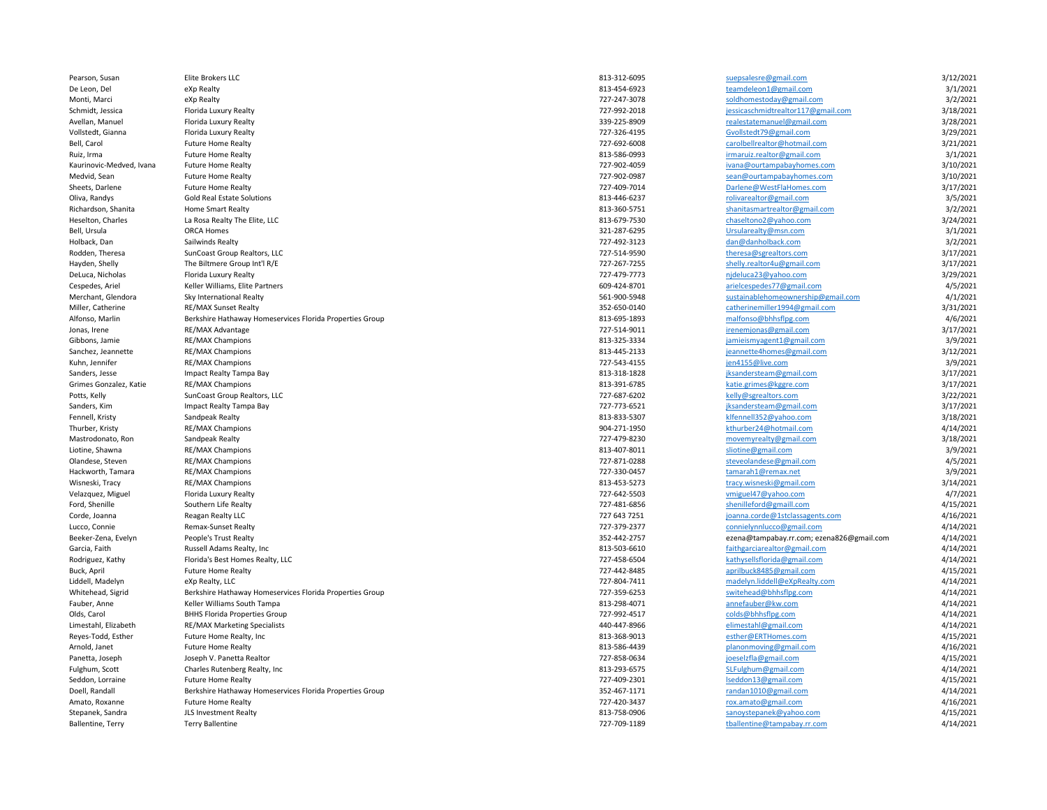Pearson, Susan Elite Brokers LLC **Registering the Control of the State State 813-312-6095** [suepsalesre@gmail.com](mailto:suepsalesre@gmail.com) 3/12/2021

De Leon, Del eXp Realty 813-454-6923 [teamdeleon1@gmail.com](mailto:teamdeleon1@gmail.com) 3/1/2021 Monti, Marci eXp Realty 727-247-3078 [soldhomestoday@gmail.com](mailto:soldhomestoday@gmail.com) 3/2/2021 Schmidt, Jessica Florida Luxury Realty 727-992-2018 [jessicaschmidtrealtor117@gmail.com](mailto:jessicaschmidtrealtor117@gmail.com) 3/18/2021 Avellan, Manuel Florida Luxury Realty 339-225-8909 [realestatemanuel@gmail.com](mailto:realestatemanuel@gmail.com) 3/28/2021 Vollstedt, Gianna Florida Luxury Realty 727-326-4195 [Gvollstedt79@gmail.com](mailto:Gvollstedt79@gmail.com) 3/29/2021 Bell, Carol Future Home Realty 727-692-6008 [carolbellrealtor@hotmail.com](mailto:carolbellrealtor@hotmail.com) 3/21/2021 Ruiz, Irma **Example 2008** Future Home Realty **Built Built Built and State Community** 813-586-0993 **[irmaruiz.realtor@gmail.com](mailto:irmaruiz.realtor@gmail.com) 3/1/2021** Kaurinovic-Medved, Ivana Future Home Realty **120/2021 127-902-4059 [ivana@ourtampabayhomes.com](mailto:ivana@ourtampabayhomes.com)** 3/10/2021 Medvid, Sean Future Home Realty 727-902-0987 https://www.facebook.com/induction-sean-@ourtampabayhomes.com 3/10/2021 Sheets, Darlene Future Home Realty 7217-409-7014 Darlene <u>[Darlene@WestFlaHomes.com](mailto:Darlene@WestFlaHomes.com)</u> 3/17/2021 31/17/2021 Oliva, Randys Gold Real Estate Solutions **Bandys** 3/5/2021 **rolling and Solutions** 813-446-6237 **rolling and Solutions** 3/5/2021 Richardson, Shanita Home Smart Realty 12/2021 and States and States and States and States and States and States and States and States and States and States and States and States and States and States and States and States Heselton, Charles La Rosa Realty The Elite, LLC 814/2021 enterprise and the State of the State of the State of the State of the State of the State of the State of the State of the State of the State of the State of the Sta Bell, Ursula ORCA Homes 321-287-6295 [Ursularealty@msn.com](mailto:Ursularealty@msn.com) 3/1/2021 Holback, Dan Sailwinds Realty 3/2/2021 and Sailwinds Realty 727-492-3123 [dan@danholback.com](mailto:dan@danholback.com) 3/2/2021 Rodden, Theresa SunCoast Group Realtors, LLC 727-514-9590 [theresa@sgrealtors.com](mailto:theresa@sgrealtors.com) 3/17/2021 Hayden, Shelly The Biltmere Group Int'l R/E 727-267-7255 [shelly.realtor4u@gmail.com](mailto:shelly.realtor4u@gmail.com) 3/17/2021 DeLuca, Nicholas Florida Luxury Realty 727-479-7773 [njdeluca23@yahoo.com](mailto:njdeluca23@yahoo.com) 3/29/2021 Cespedes, Ariel Keller Williams, Elite Partners 609-424-8701 [arielcespedes77@gmail.com](mailto:arielcespedes77@gmail.com) 4/5/2021 Merchant, Glendora Sky International Realty 6001 and the state of the state of the [sustainablehomeownership@gmail.com](mailto:sustainablehomeownership@gmail.com) 3/1/2021 3/1/2021 Miller, Catherine Microsofterine RE/MAX Sunset Realty 351/2021<br>Alfonso, Marlin and Berkshire Hathaway Homeservices Florida Properties Group and Archaeolth State and States and Archaeolth and States and Archaeolth and State Alfonso, Marlin **Berkshire Hathaway Homeservices Florida Properties Group** 813-695-1893 [malfonso@bhhsflpg.com](mailto:malfonso@bhhsflpg.com) and the extendion as a statement of the statement of the statement of the statement of the statement of the stat Jonas, Irene 2008. RE/MAX Advantage and the state of the state of the state of the state of the state of the state of the state of the state of the state of the state of the state of the state of the state of the state of Gibbons, Jamie RE/MAX Champions 813-325-3334 [jamieismyagent1@gmail.com](mailto:jamieismyagent1@gmail.com) 3/9/2021 Sanchez, Jeannette RE/MAX Champions and the Sanchez Sanchez (1990) and the Sanchez (1990) states are seen the Sanchez (1990) states and the Sanchez (1990) states are seen the Sanchez (1990) states are seen to the Sanchez ( Kuhn, Jennifer RE/MAX Champions and the state of the state of the state of the state of the state of the state of the state of the state of the state of the state of the state of the state of the state of the state of the Sanders, Jesse Sanders, Jesse Impact Realty Tampa Bay 81370221 and the Sanders of the Standersteam of the Standersteam of the Standersteam of the Standersteam of the Standersteam of the Standersteam of the Standersteam of Grimes Gonzalez, Katie and RE/MAX Champions and and the state of the state of the state of the state of the state of the state of the state of the state of the state of the state of the state of the state of the state of t Potts, Kelly SunCoast Group Realtors, LLC and the state of the state of the state of the state of the state of the state of the state of the state of the state of the state of the state of the state of the state of the sta Sanders, Kim Impact Realty Tampa Bay 727-773-6521 [jksandersteam@gmail.com](mailto:jksandersteam@gmail.com) 3/17/2021 Fennell, Kristy Sandpeak Realty 813-833-5307 [klfennell352@yahoo.com](mailto:klfennell352@yahoo.com) 3/18/2021 Thurber, Kristy RE/MAX Champions 904-271-1950 [kthurber24@hotmail.com](mailto:kthurber24@hotmail.com) 4/14/2021 Mastrodonato, Ron Sandpeak Realty 727-479-8230 [movemyrealty@gmail.com](mailto:movemyrealty@gmail.com) 3/18/2021 Liotine, Shawna RE/MAX Champions 813-407-8011 [sliotine@gmail.com](mailto:sliotine@gmail.com) 3/9/2021 Olandese, Steven RE/MAX Champions and the Alta Steven Area and the Steven Area and the Steveolandese extending the Steveolandese extending the Steveolandese extending the Alta Steveolandese extending the Alta Steveolandese Hackworth, Tamara RE/MAX Champions 29/2021 the Superior of the Superior of the Superior of the Superior of the Superior of the Superior of the Superior of the Superior of the Superior of the Superior of the Superior of the Wisneski, Tracy and RE/MAX Champions and the state of the state of the state of the state of the state of the state of the state of the state of the state of the state of the state of the state of the state of the state o Velazquez, Miguel Florida Luxury Realty 72021 Alta Luxury Realty 72021 Alta Luxury Realty 72021 Alta Luxury Realty 72021 Alta Luxury Realty 72021 Alta Luxury Realty 72021 Alta Luxury Realty 72021 Alta Luxury Realty 72021 A Ford, Shenille Southern Life Realty 72021 Alternative March 2021-481-6856 [shenilleford@gmaill.com](mailto:shenilleford@gmaill.com) 4/15/2021 4/15/2021 Corde, Joanna Reagan Realty LLC 727 643 7251 [joanna.corde@1stclassagents.com](mailto:joanna.corde@1stclassagents.com) 4/16/2021 Lucco, Connie Remax-Sunset Realty 727-379-2377 [connielynnlucco@gmail.com](mailto:connielynnlucco@gmail.com) 4/14/2021 Beeker-Zena, Evelyn People's Trust Realty **352-442-2757** ezena@tampabay.rr.com; ezena826@gmail.com 4/14/2021 Garcia, Faith Russell Adams Realty, Inc 813-503-6610 [faithgarciarealtor@gmail.com](mailto:faithgarciarealtor@gmail.com) 4/14/2021 Rodriguez, Kathy **Florida's Best Homes Realty, LLC** 604 and the state of the control of the control of the control of the control of the control of the control of the control 4/14/2021 Buck, April Future Home Realty 727-442-8485 [aprilbuck8485@gmail.com](mailto:aprilbuck8485@gmail.com) 4/15/2021 Liddell, Madelyn eXp Realty, LLC (4/14/2021<br>
Whitehead, Sigrid Berkshire Hathaway Homeservices Florida Properties Group and the state of the state of the state of the content of the state of the state of the switehead of t Whitehead, Sigrid Berkshire Hathaway Homeservices Florida Properties Group 727-359-6253 [switehead@bhhsflpg.com](mailto:switehead@bhhsflpg.com) 4/14/2021 Fauber, Anne Meller Williams South Tampa 813-298-4071 [annefauber@kw.com](mailto:annefauber@kw.com) annefauber@kw.com 4/14/2021 annefauber@kw.com 4/14/2021 Olds, Carol BHHS Florida Properties Group 64/14/2021 Colds and Taxable 11/2021 Colds@bhhsflpg.com and the BHHS Florida Properties Group Limestahl, Elizabeth RE/MAX Marketing Specialists 440-447-8966 [elimestahl@gmail.com](mailto:elimestahl@gmail.com) 4/14/2021 Reyes-Todd, Esther Future Home Realty, Inc and the Music of the State of the State of the State of the State of the State of the State of the State of the State of the State of the State of the State of the State of the St Arnold, Janet **Example 2021** Future Home Realty **813-586-4439** [planonmoving@gmail.com](mailto:planonmoving@gmail.com) **813-586-4439** planonmoving@gmail.com **4/16/2021** Panetta, Joseph Joseph V. Panetta Realtor and the Music Panetta Realtor 727-858-0634 [joeselzfla@gmail.com](mailto:joeselzfla@gmail.com) and the Joseph Joseph V. Panetta Realtor Fulghum, Scott Charles Rutenberg Realty, Inc 813-293-6575 [SLFulghum@gmail.com](mailto:SLFulghum@gmail.com) 4/14/2021 Seddon, Lorraine Future Home Realty 727-409-2301 [lseddon13@gmail.com](mailto:lseddon13@gmail.com) 4/15/2021 Doell, Randall **Berkshire Hathaway Homeservices Florida Properties Group** 352-467-1171 [randan1010@gmail.com](mailto:randan1010@gmail.com) 4/14/2021 Amato, Roxanne Future Home Realty 727-420-3437 [rox.amato@gmail.com](mailto:rox.amato@gmail.com) 4/16/2021 Stepanek, Sandra JLS Investment Realty 813-758-0906 [sanoystepanek@yahoo.com](mailto:sanoystepanek@yahoo.com) 4/15/2021 Ballentine, Terry Terry Ballentine and the Terry Terry Ballentine of the Terry Terry Ballentine of the State of the Terry Terry Terry Ballentine and the State of the Terry Terry Terry Terry Terry Terry Terry Terry Terry Te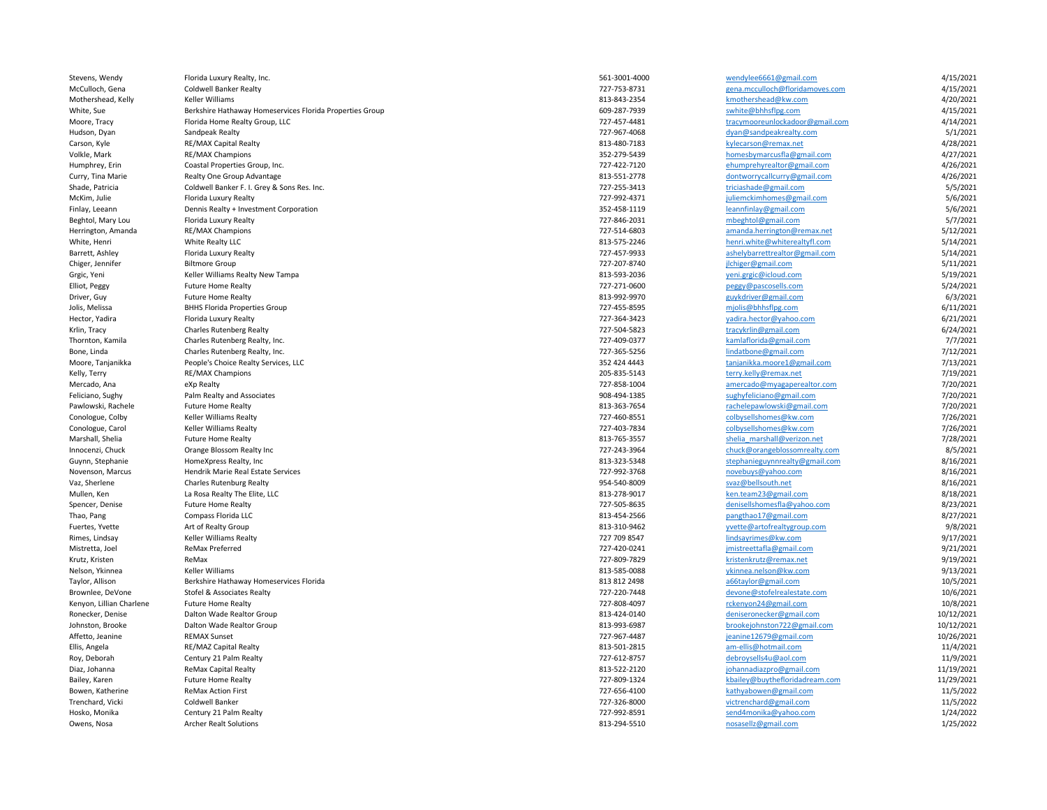| Stevens, Wendy           | Florida Luxury Realty, Inc.                                      | 561-3001-4000 | wendylee6661@gmail.com                         | 4/15/2021  |
|--------------------------|------------------------------------------------------------------|---------------|------------------------------------------------|------------|
| McCulloch, Gena          | <b>Coldwell Banker Realty</b>                                    | 727-753-8731  | gena.mcculloch@floridamoves.com                | 4/15/2021  |
| Mothershead, Kelly       | Keller Williams                                                  | 813-843-2354  | kmothershead@kw.com                            | 4/20/2021  |
| White, Sue               | Berkshire Hathaway Homeservices Florida Properties Group         | 609-287-7939  | swhite@bhhsflpg.com                            | 4/15/2021  |
| Moore, Tracy             | Florida Home Realty Group, LLC                                   | 727-457-4481  | tracymooreunlockadoor@gmail.com                | 4/14/2021  |
| Hudson, Dyan             | Sandpeak Realty                                                  | 727-967-4068  | dyan@sandpeakrealty.com                        | 5/1/2021   |
| Carson, Kyle             | <b>RE/MAX Capital Realty</b>                                     | 813-480-7183  | kylecarson@remax.net                           | 4/28/2021  |
| Volkle, Mark             | RE/MAX Champions                                                 | 352-279-5439  | homesbymarcusfla@gmail.com                     | 4/27/2021  |
| Humphrey, Erin           | Coastal Properties Group, Inc.                                   | 727-422-7120  | ehumprehyrealtor@gmail.com                     | 4/26/2021  |
| Curry, Tina Marie        | Realty One Group Advantage                                       | 813-551-2778  | dontworrycallcurry@gmail.com                   | 4/26/2021  |
| Shade, Patricia          | Coldwell Banker F. I. Grey & Sons Res. Inc.                      | 727-255-3413  | triciashade@gmail.com                          | 5/5/2021   |
| McKim, Julie             | Florida Luxury Realty                                            | 727-992-4371  | juliemckimhomes@gmail.com                      | 5/6/2021   |
| Finlay, Leeann           | Dennis Realty + Investment Corporation                           | 352-458-1119  | leannfinlay@gmail.com                          | 5/6/2021   |
| Beghtol, Mary Lou        | Florida Luxury Realty                                            | 727-846-2031  | mbeghtol@gmail.com                             | 5/7/2021   |
| Herrington, Amanda       | RE/MAX Champions                                                 | 727-514-6803  | amanda.herrington@remax.net                    | 5/12/2021  |
| White, Henri             | White Realty LLC                                                 | 813-575-2246  | henri.white@whiterealtyfl.com                  | 5/14/2021  |
| Barrett, Ashley          | Florida Luxury Realty                                            | 727-457-9933  | ashelybarrettrealtor@gmail.com                 | 5/14/2021  |
| Chiger, Jennifer         | <b>Biltmore Group</b>                                            | 727-207-8740  | jlchiger@gmail.com                             | 5/11/2021  |
| Grgic, Yeni              | Keller Williams Realty New Tampa                                 | 813-593-2036  | yeni.grgic@icloud.com                          | 5/19/2021  |
| Elliot, Peggy            | <b>Future Home Realty</b>                                        | 727-271-0600  | peggy@pascosells.com                           | 5/24/2021  |
| Driver, Guy              | <b>Future Home Realty</b>                                        | 813-992-9970  | guykdriver@gmail.com                           | 6/3/2021   |
| Jolis, Melissa           | <b>BHHS Florida Properties Group</b>                             | 727-455-8595  | mjolis@bhhsflpg.com                            | 6/11/2021  |
| Hector, Yadira           | Florida Luxury Realty                                            | 727-364-3423  | yadira.hector@yahoo.com                        | 6/21/2021  |
| Krlin, Tracy             | <b>Charles Rutenberg Realty</b>                                  | 727-504-5823  | tracykrlin@gmail.com                           | 6/24/2021  |
| Thornton, Kamila         |                                                                  | 727-409-0377  |                                                | 7/7/2021   |
|                          | Charles Rutenberg Realty, Inc.<br>Charles Rutenberg Realty, Inc. | 727-365-5256  | kamlaflorida@gmail.com<br>lindatbone@gmail.com | 7/12/2021  |
| Bone, Linda              |                                                                  |               |                                                |            |
| Moore, Tanjanikka        | People's Choice Realty Services, LLC                             | 352 424 4443  | tanjanikka.moore1@gmail.com                    | 7/13/2021  |
| Kelly, Terry             | RE/MAX Champions                                                 | 205-835-5143  | terry.kelly@remax.net                          | 7/19/2021  |
| Mercado, Ana             | eXp Realty                                                       | 727-858-1004  | amercado@myagaperealtor.com                    | 7/20/2021  |
| Feliciano, Sughy         | Palm Realty and Associates                                       | 908-494-1385  | sughyfeliciano@gmail.com                       | 7/20/2021  |
| Pawlowski, Rachele       | <b>Future Home Realty</b>                                        | 813-363-7654  | rachelepawlowski@gmail.com                     | 7/20/2021  |
| Conologue, Colby         | <b>Keller Williams Realty</b>                                    | 727-460-8551  | colbysellshomes@kw.com                         | 7/26/2021  |
| Conologue, Carol         | <b>Keller Williams Realty</b>                                    | 727-403-7834  | colbysellshomes@kw.com                         | 7/26/2021  |
| Marshall, Shelia         | <b>Future Home Realty</b>                                        | 813-765-3557  | shelia marshall@verizon.net                    | 7/28/2021  |
| Innocenzi, Chuck         | Orange Blossom Realty Inc                                        | 727-243-3964  | chuck@orangeblossomrealty.com                  | 8/5/2021   |
| Guynn, Stephanie         | HomeXpress Realty, Inc                                           | 813-323-5348  | stephanieguynnrealty@gmail.com                 | 8/16/2021  |
| Novenson, Marcus         | Hendrik Marie Real Estate Services                               | 727-992-3768  | novebuys@yahoo.com                             | 8/16/2021  |
| Vaz, Sherlene            | <b>Charles Rutenburg Realty</b>                                  | 954-540-8009  | svaz@bellsouth.net                             | 8/16/2021  |
| Mullen, Ken              | La Rosa Realty The Elite, LLC                                    | 813-278-9017  | ken.team23@gmail.com                           | 8/18/2021  |
| Spencer, Denise          | <b>Future Home Realty</b>                                        | 727-505-8635  | denisellshomesfla@yahoo.com                    | 8/23/2021  |
| Thao, Pang               | Compass Florida LLC                                              | 813-454-2566  | pangthao17@gmail.com                           | 8/27/2021  |
| Fuertes, Yvette          | Art of Realty Group                                              | 813-310-9462  | yvette@artofrealtygroup.com                    | 9/8/2021   |
| Rimes, Lindsay           | Keller Williams Realty                                           | 727 709 8547  | lindsayrimes@kw.com                            | 9/17/2021  |
| Mistretta, Joel          | ReMax Preferred                                                  | 727-420-0241  | jmistreettafla@gmail.com                       | 9/21/2021  |
| Krutz, Kristen           | ReMax                                                            | 727-809-7829  | kristenkrutz@remax.net                         | 9/19/2021  |
| Nelson, Ykinnea          | Keller Williams                                                  | 813-585-0088  | ykinnea.nelson@kw.com                          | 9/13/2021  |
| Taylor, Allison          | Berkshire Hathaway Homeservices Florida                          | 813 812 2498  | a66taylor@gmail.com                            | 10/5/2021  |
| Brownlee, DeVone         | Stofel & Associates Realty                                       | 727-220-7448  | devone@stofelrealestate.com                    | 10/6/2021  |
| Kenyon, Lillian Charlene | <b>Future Home Realty</b>                                        | 727-808-4097  | rckenyon24@gmail.com                           | 10/8/2021  |
| Ronecker, Denise         | Dalton Wade Realtor Group                                        | 813-424-0140  | deniseronecker@gmail.com                       | 10/12/2021 |
| Johnston, Brooke         | Dalton Wade Realtor Group                                        | 813-993-6987  | brookejohnston722@gmail.com                    | 10/12/2021 |
| Affetto, Jeanine         | <b>REMAX Sunset</b>                                              | 727-967-4487  | jeanine12679@gmail.com                         | 10/26/2021 |
| Ellis, Angela            | RE/MAZ Capital Realty                                            | 813-501-2815  | am-ellis@hotmail.com                           | 11/4/2021  |
| Roy, Deborah             | Century 21 Palm Realty                                           | 727-612-8757  | debroysells4u@aol.com                          | 11/9/2021  |
| Diaz, Johanna            | <b>ReMax Capital Realty</b>                                      | 813-522-2120  | johannadiazpro@gmail.com                       | 11/19/2021 |
| Bailey, Karen            | <b>Future Home Realty</b>                                        | 727-809-1324  | kbailey@buythefloridadream.com                 | 11/29/2021 |
| Bowen, Katherine         | <b>ReMax Action First</b>                                        | 727-656-4100  | kathyabowen@gmail.com                          | 11/5/2022  |
| Trenchard, Vicki         | Coldwell Banker                                                  | 727-326-8000  | victrenchard@gmail.com                         | 11/5/2022  |
| Hosko, Monika            | Century 21 Palm Realty                                           | 727-992-8591  | send4monika@yahoo.com                          | 1/24/2022  |
| Owens, Nosa              | <b>Archer Realt Solutions</b>                                    | 813-294-5510  | nosasellz@gmail.com                            | 1/25/2022  |
|                          |                                                                  |               |                                                |            |